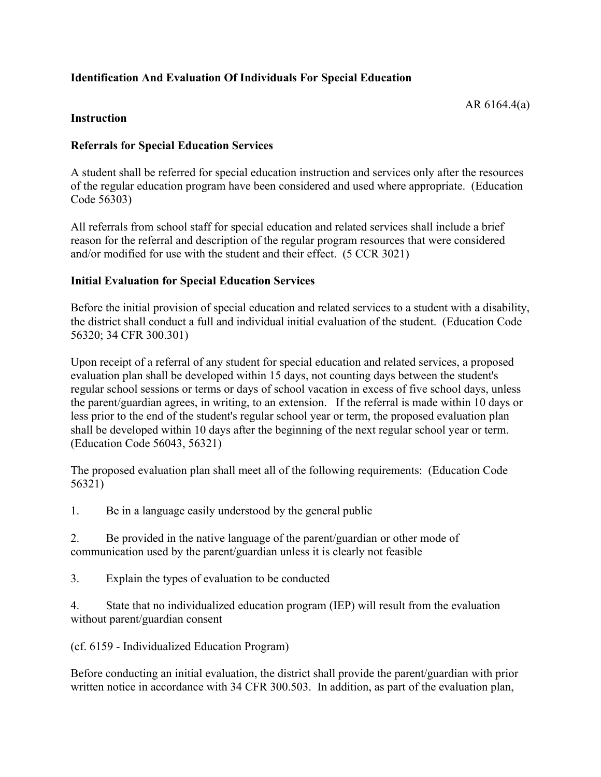# **Identification And Evaluation Of Individuals For Special Education**

#### **Instruction**

### **Referrals for Special Education Services**

A student shall be referred for special education instruction and services only after the resources of the regular education program have been considered and used where appropriate. (Education Code 56303)

All referrals from school staff for special education and related services shall include a brief reason for the referral and description of the regular program resources that were considered and/or modified for use with the student and their effect. (5 CCR 3021)

### **Initial Evaluation for Special Education Services**

Before the initial provision of special education and related services to a student with a disability, the district shall conduct a full and individual initial evaluation of the student. (Education Code 56320; 34 CFR 300.301)

Upon receipt of a referral of any student for special education and related services, a proposed evaluation plan shall be developed within 15 days, not counting days between the student's regular school sessions or terms or days of school vacation in excess of five school days, unless the parent/guardian agrees, in writing, to an extension. If the referral is made within 10 days or less prior to the end of the student's regular school year or term, the proposed evaluation plan shall be developed within 10 days after the beginning of the next regular school year or term. (Education Code 56043, 56321)

The proposed evaluation plan shall meet all of the following requirements: (Education Code 56321)

1. Be in a language easily understood by the general public

2. Be provided in the native language of the parent/guardian or other mode of communication used by the parent/guardian unless it is clearly not feasible

3. Explain the types of evaluation to be conducted

4. State that no individualized education program (IEP) will result from the evaluation without parent/guardian consent

(cf. 6159 - Individualized Education Program)

Before conducting an initial evaluation, the district shall provide the parent/guardian with prior written notice in accordance with 34 CFR 300.503. In addition, as part of the evaluation plan,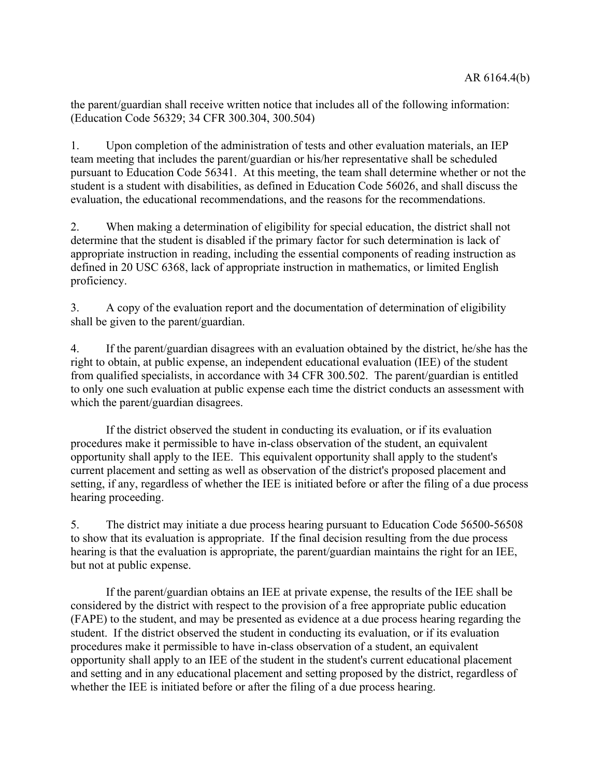the parent/guardian shall receive written notice that includes all of the following information: (Education Code 56329; 34 CFR 300.304, 300.504)

1. Upon completion of the administration of tests and other evaluation materials, an IEP team meeting that includes the parent/guardian or his/her representative shall be scheduled pursuant to Education Code 56341. At this meeting, the team shall determine whether or not the student is a student with disabilities, as defined in Education Code 56026, and shall discuss the evaluation, the educational recommendations, and the reasons for the recommendations.

2. When making a determination of eligibility for special education, the district shall not determine that the student is disabled if the primary factor for such determination is lack of appropriate instruction in reading, including the essential components of reading instruction as defined in 20 USC 6368, lack of appropriate instruction in mathematics, or limited English proficiency.

3. A copy of the evaluation report and the documentation of determination of eligibility shall be given to the parent/guardian.

4. If the parent/guardian disagrees with an evaluation obtained by the district, he/she has the right to obtain, at public expense, an independent educational evaluation (IEE) of the student from qualified specialists, in accordance with 34 CFR 300.502. The parent/guardian is entitled to only one such evaluation at public expense each time the district conducts an assessment with which the parent/guardian disagrees.

If the district observed the student in conducting its evaluation, or if its evaluation procedures make it permissible to have in-class observation of the student, an equivalent opportunity shall apply to the IEE. This equivalent opportunity shall apply to the student's current placement and setting as well as observation of the district's proposed placement and setting, if any, regardless of whether the IEE is initiated before or after the filing of a due process hearing proceeding.

5. The district may initiate a due process hearing pursuant to Education Code 56500-56508 to show that its evaluation is appropriate. If the final decision resulting from the due process hearing is that the evaluation is appropriate, the parent/guardian maintains the right for an IEE, but not at public expense.

If the parent/guardian obtains an IEE at private expense, the results of the IEE shall be considered by the district with respect to the provision of a free appropriate public education (FAPE) to the student, and may be presented as evidence at a due process hearing regarding the student. If the district observed the student in conducting its evaluation, or if its evaluation procedures make it permissible to have in-class observation of a student, an equivalent opportunity shall apply to an IEE of the student in the student's current educational placement and setting and in any educational placement and setting proposed by the district, regardless of whether the IEE is initiated before or after the filing of a due process hearing.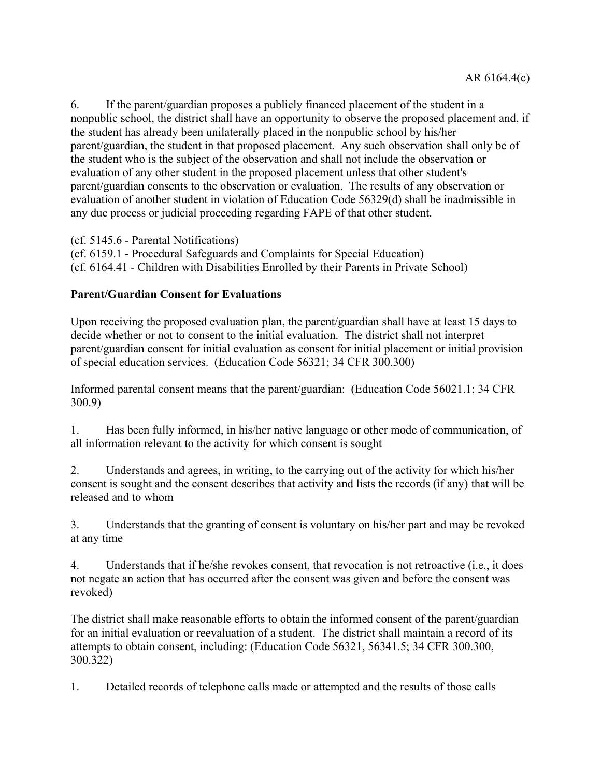6. If the parent/guardian proposes a publicly financed placement of the student in a nonpublic school, the district shall have an opportunity to observe the proposed placement and, if the student has already been unilaterally placed in the nonpublic school by his/her parent/guardian, the student in that proposed placement. Any such observation shall only be of the student who is the subject of the observation and shall not include the observation or evaluation of any other student in the proposed placement unless that other student's parent/guardian consents to the observation or evaluation. The results of any observation or evaluation of another student in violation of Education Code 56329(d) shall be inadmissible in any due process or judicial proceeding regarding FAPE of that other student.

(cf. 5145.6 - Parental Notifications) (cf. 6159.1 - Procedural Safeguards and Complaints for Special Education) (cf. 6164.41 - Children with Disabilities Enrolled by their Parents in Private School)

# **Parent/Guardian Consent for Evaluations**

Upon receiving the proposed evaluation plan, the parent/guardian shall have at least 15 days to decide whether or not to consent to the initial evaluation. The district shall not interpret parent/guardian consent for initial evaluation as consent for initial placement or initial provision of special education services. (Education Code 56321; 34 CFR 300.300)

Informed parental consent means that the parent/guardian: (Education Code 56021.1; 34 CFR 300.9)

1. Has been fully informed, in his/her native language or other mode of communication, of all information relevant to the activity for which consent is sought

2. Understands and agrees, in writing, to the carrying out of the activity for which his/her consent is sought and the consent describes that activity and lists the records (if any) that will be released and to whom

3. Understands that the granting of consent is voluntary on his/her part and may be revoked at any time

4. Understands that if he/she revokes consent, that revocation is not retroactive (i.e., it does not negate an action that has occurred after the consent was given and before the consent was revoked)

The district shall make reasonable efforts to obtain the informed consent of the parent/guardian for an initial evaluation or reevaluation of a student. The district shall maintain a record of its attempts to obtain consent, including: (Education Code 56321, 56341.5; 34 CFR 300.300, 300.322)

1. Detailed records of telephone calls made or attempted and the results of those calls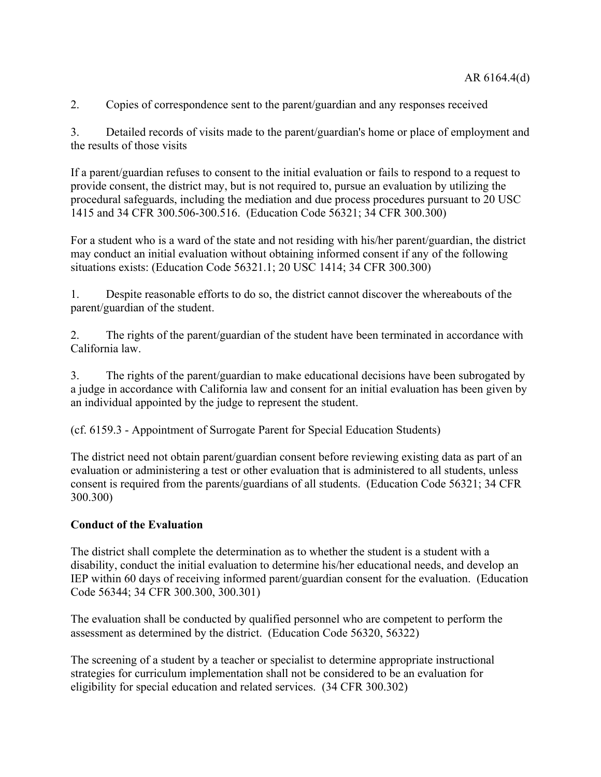2. Copies of correspondence sent to the parent/guardian and any responses received

3. Detailed records of visits made to the parent/guardian's home or place of employment and the results of those visits

If a parent/guardian refuses to consent to the initial evaluation or fails to respond to a request to provide consent, the district may, but is not required to, pursue an evaluation by utilizing the procedural safeguards, including the mediation and due process procedures pursuant to 20 USC 1415 and 34 CFR 300.506-300.516. (Education Code 56321; 34 CFR 300.300)

For a student who is a ward of the state and not residing with his/her parent/guardian, the district may conduct an initial evaluation without obtaining informed consent if any of the following situations exists: (Education Code 56321.1; 20 USC 1414; 34 CFR 300.300)

1. Despite reasonable efforts to do so, the district cannot discover the whereabouts of the parent/guardian of the student.

2. The rights of the parent/guardian of the student have been terminated in accordance with California law.

3. The rights of the parent/guardian to make educational decisions have been subrogated by a judge in accordance with California law and consent for an initial evaluation has been given by an individual appointed by the judge to represent the student.

(cf. 6159.3 - Appointment of Surrogate Parent for Special Education Students)

The district need not obtain parent/guardian consent before reviewing existing data as part of an evaluation or administering a test or other evaluation that is administered to all students, unless consent is required from the parents/guardians of all students. (Education Code 56321; 34 CFR 300.300)

#### **Conduct of the Evaluation**

The district shall complete the determination as to whether the student is a student with a disability, conduct the initial evaluation to determine his/her educational needs, and develop an IEP within 60 days of receiving informed parent/guardian consent for the evaluation. (Education Code 56344; 34 CFR 300.300, 300.301)

The evaluation shall be conducted by qualified personnel who are competent to perform the assessment as determined by the district. (Education Code 56320, 56322)

The screening of a student by a teacher or specialist to determine appropriate instructional strategies for curriculum implementation shall not be considered to be an evaluation for eligibility for special education and related services. (34 CFR 300.302)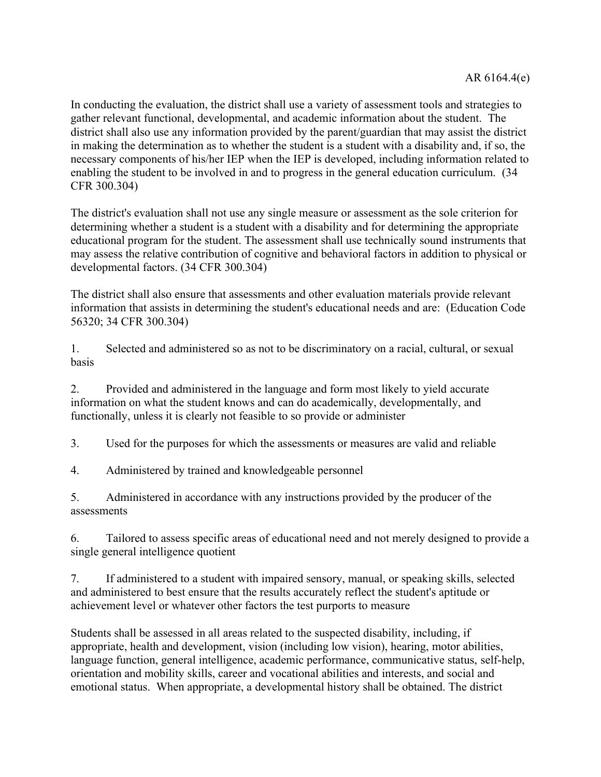In conducting the evaluation, the district shall use a variety of assessment tools and strategies to gather relevant functional, developmental, and academic information about the student. The district shall also use any information provided by the parent/guardian that may assist the district in making the determination as to whether the student is a student with a disability and, if so, the necessary components of his/her IEP when the IEP is developed, including information related to enabling the student to be involved in and to progress in the general education curriculum. (34 CFR 300.304)

The district's evaluation shall not use any single measure or assessment as the sole criterion for determining whether a student is a student with a disability and for determining the appropriate educational program for the student. The assessment shall use technically sound instruments that may assess the relative contribution of cognitive and behavioral factors in addition to physical or developmental factors. (34 CFR 300.304)

The district shall also ensure that assessments and other evaluation materials provide relevant information that assists in determining the student's educational needs and are: (Education Code 56320; 34 CFR 300.304)

1. Selected and administered so as not to be discriminatory on a racial, cultural, or sexual basis

2. Provided and administered in the language and form most likely to yield accurate information on what the student knows and can do academically, developmentally, and functionally, unless it is clearly not feasible to so provide or administer

3. Used for the purposes for which the assessments or measures are valid and reliable

4. Administered by trained and knowledgeable personnel

5. Administered in accordance with any instructions provided by the producer of the assessments

6. Tailored to assess specific areas of educational need and not merely designed to provide a single general intelligence quotient

7. If administered to a student with impaired sensory, manual, or speaking skills, selected and administered to best ensure that the results accurately reflect the student's aptitude or achievement level or whatever other factors the test purports to measure

Students shall be assessed in all areas related to the suspected disability, including, if appropriate, health and development, vision (including low vision), hearing, motor abilities, language function, general intelligence, academic performance, communicative status, self-help, orientation and mobility skills, career and vocational abilities and interests, and social and emotional status. When appropriate, a developmental history shall be obtained. The district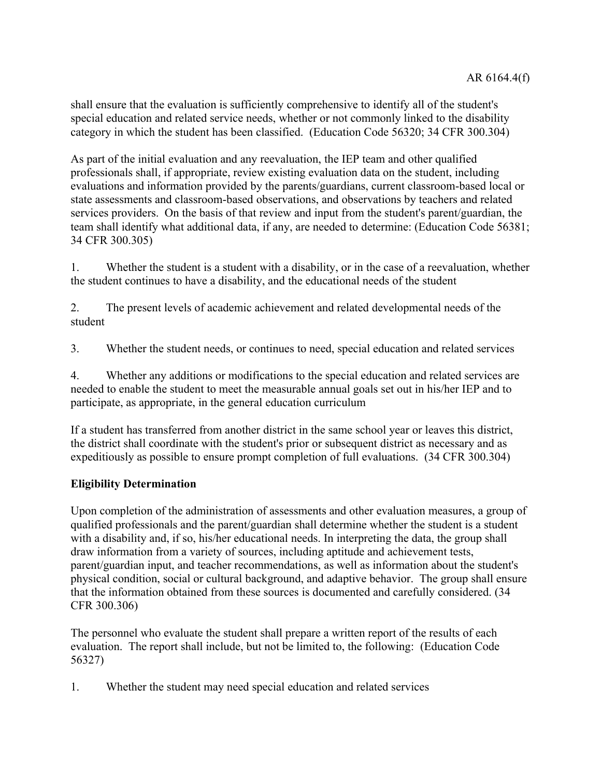shall ensure that the evaluation is sufficiently comprehensive to identify all of the student's special education and related service needs, whether or not commonly linked to the disability category in which the student has been classified. (Education Code 56320; 34 CFR 300.304)

As part of the initial evaluation and any reevaluation, the IEP team and other qualified professionals shall, if appropriate, review existing evaluation data on the student, including evaluations and information provided by the parents/guardians, current classroom-based local or state assessments and classroom-based observations, and observations by teachers and related services providers. On the basis of that review and input from the student's parent/guardian, the team shall identify what additional data, if any, are needed to determine: (Education Code 56381; 34 CFR 300.305)

1. Whether the student is a student with a disability, or in the case of a reevaluation, whether the student continues to have a disability, and the educational needs of the student

2. The present levels of academic achievement and related developmental needs of the student

3. Whether the student needs, or continues to need, special education and related services

4. Whether any additions or modifications to the special education and related services are needed to enable the student to meet the measurable annual goals set out in his/her IEP and to participate, as appropriate, in the general education curriculum

If a student has transferred from another district in the same school year or leaves this district, the district shall coordinate with the student's prior or subsequent district as necessary and as expeditiously as possible to ensure prompt completion of full evaluations. (34 CFR 300.304)

## **Eligibility Determination**

Upon completion of the administration of assessments and other evaluation measures, a group of qualified professionals and the parent/guardian shall determine whether the student is a student with a disability and, if so, his/her educational needs. In interpreting the data, the group shall draw information from a variety of sources, including aptitude and achievement tests, parent/guardian input, and teacher recommendations, as well as information about the student's physical condition, social or cultural background, and adaptive behavior. The group shall ensure that the information obtained from these sources is documented and carefully considered. (34 CFR 300.306)

The personnel who evaluate the student shall prepare a written report of the results of each evaluation. The report shall include, but not be limited to, the following: (Education Code 56327)

1. Whether the student may need special education and related services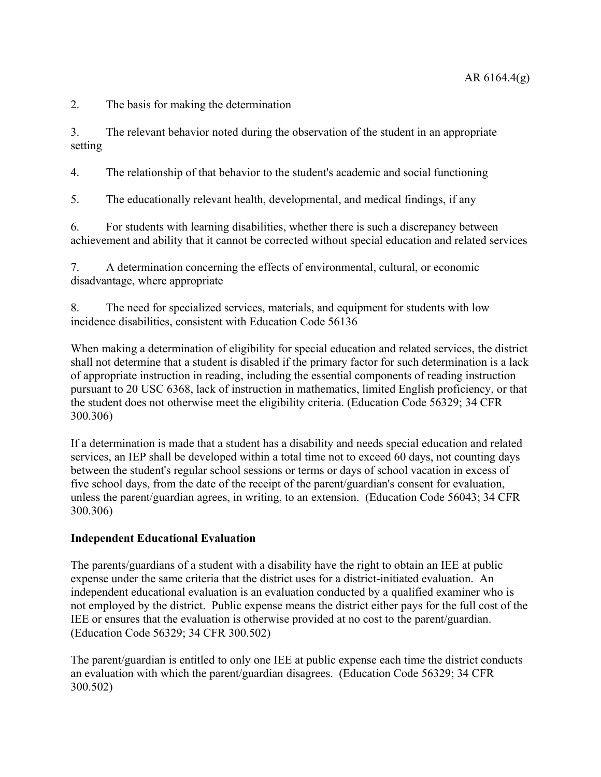2. The basis for making the determination

3. The relevant behavior noted during the observation of the student in an appropriate setting

4. The relationship of that behavior to the student's academic and social functioning

5. The educationally relevant health, developmental, and medical findings, if any

6. For students with learning disabilities, whether there is such a discrepancy between achievement and ability that it cannot be corrected without special education and related services

7. A determination concerning the effects of environmental, cultural, or economic disadvantage, where appropriate

8. The need for specialized services, materials, and equipment for students with low incidence disabilities, consistent with Education Code 56136

When making a determination of eligibility for special education and related services, the district shall not determine that a student is disabled if the primary factor for such determination is a lack of appropriate instruction in reading, including the essential components of reading instruction pursuant to 20 USC 6368, lack of instruction in mathematics, limited English proficiency, or that the student does not otherwise meet the eligibility criteria. (Education Code 56329; 34 CFR 300.306)

If a determination is made that a student has a disability and needs special education and related services, an IEP shall be developed within a total time not to exceed 60 days, not counting days between the student's regular school sessions or terms or days of school vacation in excess of five school days, from the date of the receipt of the parent/guardian's consent for evaluation, unless the parent/guardian agrees, in writing, to an extension. (Education Code 56043; 34 CFR 300.306)

## **Independent Educational Evaluation**

The parents/guardians of a student with a disability have the right to obtain an IEE at public expense under the same criteria that the district uses for a district-initiated evaluation. An independent educational evaluation is an evaluation conducted by a qualified examiner who is not employed by the district. Public expense means the district either pays for the full cost of the IEE or ensures that the evaluation is otherwise provided at no cost to the parent/guardian. (Education Code 56329; 34 CFR 300.502)

The parent/guardian is entitled to only one IEE at public expense each time the district conducts an evaluation with which the parent/guardian disagrees. (Education Code 56329; 34 CFR 300.502)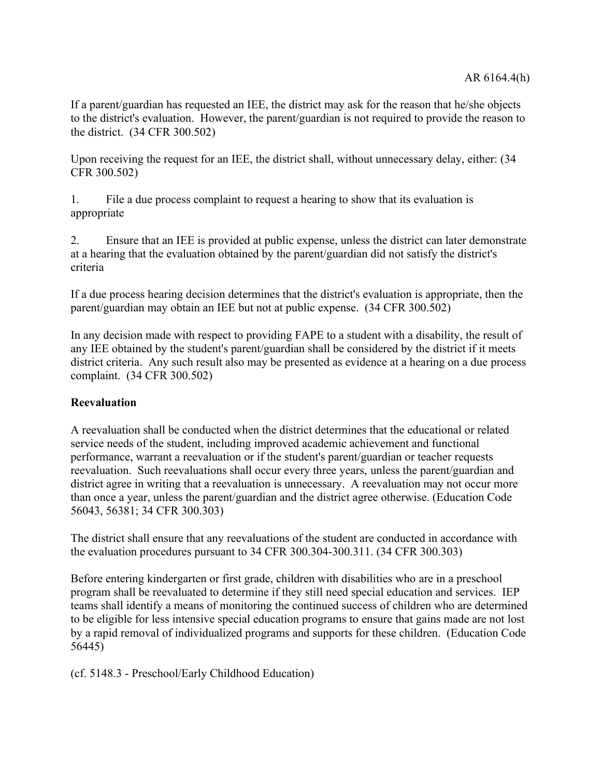If a parent/guardian has requested an IEE, the district may ask for the reason that he/she objects to the district's evaluation. However, the parent/guardian is not required to provide the reason to the district. (34 CFR 300.502)

Upon receiving the request for an IEE, the district shall, without unnecessary delay, either: (34 CFR 300.502)

1. File a due process complaint to request a hearing to show that its evaluation is appropriate

2. Ensure that an IEE is provided at public expense, unless the district can later demonstrate at a hearing that the evaluation obtained by the parent/guardian did not satisfy the district's criteria

If a due process hearing decision determines that the district's evaluation is appropriate, then the parent/guardian may obtain an IEE but not at public expense. (34 CFR 300.502)

In any decision made with respect to providing FAPE to a student with a disability, the result of any IEE obtained by the student's parent/guardian shall be considered by the district if it meets district criteria. Any such result also may be presented as evidence at a hearing on a due process complaint. (34 CFR 300.502)

## **Reevaluation**

A reevaluation shall be conducted when the district determines that the educational or related service needs of the student, including improved academic achievement and functional performance, warrant a reevaluation or if the student's parent/guardian or teacher requests reevaluation. Such reevaluations shall occur every three years, unless the parent/guardian and district agree in writing that a reevaluation is unnecessary. A reevaluation may not occur more than once a year, unless the parent/guardian and the district agree otherwise. (Education Code 56043, 56381; 34 CFR 300.303)

The district shall ensure that any reevaluations of the student are conducted in accordance with the evaluation procedures pursuant to 34 CFR 300.304-300.311. (34 CFR 300.303)

Before entering kindergarten or first grade, children with disabilities who are in a preschool program shall be reevaluated to determine if they still need special education and services. IEP teams shall identify a means of monitoring the continued success of children who are determined to be eligible for less intensive special education programs to ensure that gains made are not lost by a rapid removal of individualized programs and supports for these children. (Education Code 56445)

(cf. 5148.3 - Preschool/Early Childhood Education)